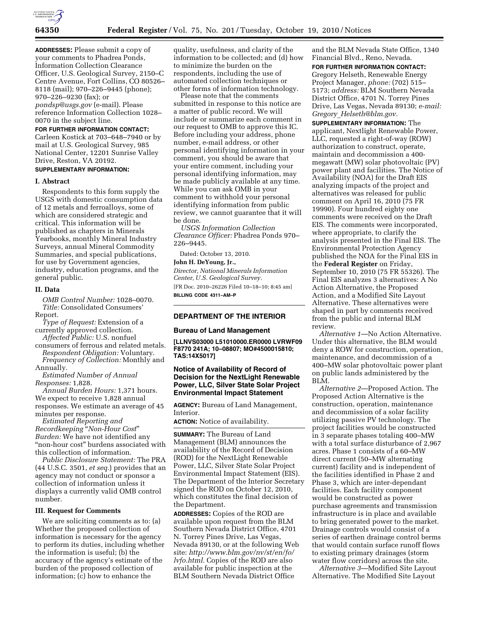

**ADDRESSES:** Please submit a copy of your comments to Phadrea Ponds, Information Collection Clearance Officer, U.S. Geological Survey, 2150–C Centre Avenue, Fort Collins, CO 80526– 8118 (mail); 970–226–9445 (phone); 970–226–9230 (fax); or *[pondsp@usgs.gov](mailto:pondsp@usgs.gov)* (e-mail). Please reference Information Collection 1028– 0070 in the subject line.

### **FOR FURTHER INFORMATION CONTACT:**

Carleen Kostick at 703–648–7940 or by mail at U.S. Geological Survey, 985 National Center, 12201 Sunrise Valley Drive, Reston, VA 20192.

# **SUPPLEMENTARY INFORMATION:**

#### **I. Abstract**

Respondents to this form supply the USGS with domestic consumption data of 12 metals and ferroalloys, some of which are considered strategic and critical. This information will be published as chapters in Minerals Yearbooks, monthly Mineral Industry Surveys, annual Mineral Commodity Summaries, and special publications, for use by Government agencies, industry, education programs, and the general public.

### **II. Data**

*OMB Control Number:* 1028–0070. *Title:* Consolidated Consumers' Report.

*Type of Request:* Extension of a currently approved collection.

*Affected Public:* U.S. nonfuel consumers of ferrous and related metals. *Respondent Obligation:* Voluntary.

*Frequency of Collection:* Monthly and Annually.

*Estimated Number of Annual Responses:* 1,828.

*Annual Burden Hours:* 1,371 hours. We expect to receive 1,828 annual responses. We estimate an average of 45 minutes per response.

*Estimated Reporting and Recordkeeping* ''*Non-Hour Cost*'' *Burden:* We have not identified any "non-hour cost" burdens associated with this collection of information.

*Public Disclosure Statement:* The PRA (44 U.S.C. 3501, *et seq.*) provides that an agency may not conduct or sponsor a collection of information unless it displays a currently valid OMB control number.

### **III. Request for Comments**

We are soliciting comments as to: (a) Whether the proposed collection of information is necessary for the agency to perform its duties, including whether the information is useful; (b) the accuracy of the agency's estimate of the burden of the proposed collection of information; (c) how to enhance the

quality, usefulness, and clarity of the information to be collected; and (d) how to minimize the burden on the respondents, including the use of automated collection techniques or other forms of information technology.

Please note that the comments submitted in response to this notice are a matter of public record. We will include or summarize each comment in our request to OMB to approve this IC. Before including your address, phone number, e-mail address, or other personal identifying information in your comment, you should be aware that your entire comment, including your personal identifying information, may be made publicly available at any time. While you can ask OMB in your comment to withhold your personal identifying information from public review, we cannot guarantee that it will be done.

*USGS Information Collection Clearance Officer:* Phadrea Ponds 970– 226–9445.

Dated: October 13, 2010.

## **John H. DeYoung, Jr.,**

*Director, National Minerals Information Center, U.S. Geological Survey.*  [FR Doc. 2010–26226 Filed 10–18–10; 8:45 am] **BILLING CODE 4311–AM–P** 

## **DEPARTMENT OF THE INTERIOR**

#### **Bureau of Land Management**

**[LLNVS03000 L51010000.ER0000 LVRWF09 F8770 241A; 10–08807; MO#4500015810; TAS:14X5017]** 

## **Notice of Availability of Record of Decision for the NextLight Renewable Power, LLC, Silver State Solar Project Environmental Impact Statement**

**AGENCY:** Bureau of Land Management, Interior.

**ACTION:** Notice of availability.

**SUMMARY:** The Bureau of Land Management (BLM) announces the availability of the Record of Decision (ROD) for the NextLight Renewable Power, LLC, Silver State Solar Project Environmental Impact Statement (EIS). The Department of the Interior Secretary signed the ROD on October 12, 2010, which constitutes the final decision of the Department.

**ADDRESSES:** Copies of the ROD are available upon request from the BLM Southern Nevada District Office, 4701 N. Torrey Pines Drive, Las Vegas, Nevada 89130, or at the following Web site: *[http://www.blm.gov/nv/st/en/fo/](http://www.blm.gov/nv/st/en/fo/lvfo.html) [lvfo.html.](http://www.blm.gov/nv/st/en/fo/lvfo.html)* Copies of the ROD are also available for public inspection at the BLM Southern Nevada District Office

and the BLM Nevada State Office, 1340 Financial Blvd., Reno, Nevada.

**FOR FURTHER INFORMATION CONTACT:**  Gregory Helseth, Renewable Energy Project Manager, *phone:* (702) 515– 5173; *address:* BLM Southern Nevada District Office, 4701 N. Torrey Pines Drive, Las Vegas, Nevada 89130; *e-mail: Gregory*\_*[Helseth@blm.gov.](mailto:Gregory_Helseth@blm.gov)* 

**SUPPLEMENTARY INFORMATION:** The applicant, Nextlight Renewable Power, LLC, requested a right-of-way (ROW) authorization to construct, operate, maintain and decommission a 400 megawatt (MW) solar photovoltaic (PV) power plant and facilities. The Notice of Availability (NOA) for the Draft EIS analyzing impacts of the project and alternatives was released for public comment on April 16, 2010 (75 FR 19990). Four hundred eighty one comments were received on the Draft EIS. The comments were incorporated, where appropriate, to clarify the analysis presented in the Final EIS. The Environmental Protection Agency published the NOA for the Final EIS in the **Federal Register** on Friday, September 10, 2010 (75 FR 55326). The Final EIS analyzes 3 alternatives: A No Action Alternative, the Proposed Action, and a Modified Site Layout Alternative. These alternatives were shaped in part by comments received from the public and internal BLM review.

*Alternative 1*—No Action Alternative. Under this alternative, the BLM would deny a ROW for construction, operation, maintenance, and decommission of a 400–MW solar photovoltaic power plant on public lands administered by the BLM.

*Alternative 2*—Proposed Action. The Proposed Action Alternative is the construction, operation, maintenance and decommission of a solar facility utilizing passive PV technology. The project facilities would be constructed in 3 separate phases totaling 400–MW with a total surface disturbance of 2,967 acres. Phase 1 consists of a 60–MW direct current (50–MW alternating current) facility and is independent of the facilities identified in Phase 2 and Phase 3, which are inter-dependant facilities. Each facility component would be constructed as power purchase agreements and transmission infrastructure is in place and available to bring generated power to the market. Drainage controls would consist of a series of earthen drainage control berms that would contain surface runoff flows to existing primary drainages (storm water flow corridors) across the site.

*Alternative 3*—Modified Site Layout Alternative. The Modified Site Layout